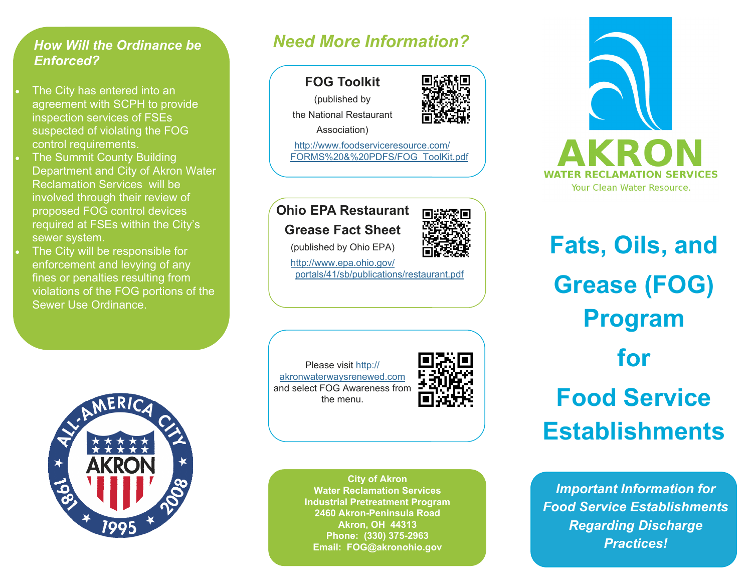## *How Will the Ordinance be Enforced?*

- $\bullet$  . The City has entered into an agreement with SCPH to provide inspection services of FSEs suspected of violating the FOG control requirements.
- $\bullet$  The Summit County Building Department and City of Akron Water Reclamation Services will be involved through their review of proposed FOG control devices required at FSEs within the City's sewer system.
- $\bullet$  The City will be responsible for enforcement and levying of any fines or penalties resulting from violations of the FOG portions of the Sewer Use Ordinance.



# *Need More Information?*



Association)

[http://www.foodserviceresource.com/](http://www.foodserviceresource.com/FORMS%20&%20PDFS/FOG_ToolKit.pdf) [FORMS%20&%20PDFS/FOG\\_ToolKit.pdf](http://www.foodserviceresource.com/FORMS%20&%20PDFS/FOG_ToolKit.pdf)

# **Ohio EPA Restaurant**

**Grease Fact Sheet** 

(published by Ohio EPA)

[http://www.epa.ohio.gov/](http://www.epa.ohio.gov/portals/41/sb/publications/restaurant.pdf) [portals/41/sb/publications/restaurant.pdf](http://www.epa.ohio.gov/portals/41/sb/publications/restaurant.pdf)

Please visit [http://](http://akronwaterwaysrenewed.com) [akronwaterwaysrenewed.com](http://akronwaterwaysrenewed.com) and select FOG Awareness from the menu.



**City of Akron Water Reclamation Services Industrial Pretreatment Program 2460 Akron-Peninsula Road Akron, OH 44313 Phone: (330) 375-2963 Email: FOG@akronohio.gov** 



**Fats, Oils, and Grease (FOG) Program for Food Service Establishments** 

*Important Information for Food Service Establishments Regarding Discharge Practices!*